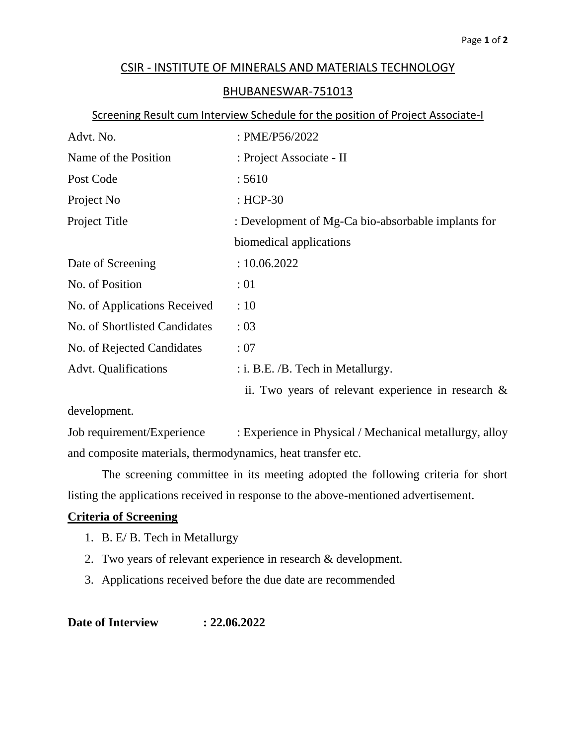## CSIR - INSTITUTE OF MINERALS AND MATERIALS TECHNOLOGY

## BHUBANESWAR-751013

## Screening Result cum Interview Schedule for the position of Project Associate-I

| Advt. No.                     | : PME/P56/2022                                        |  |
|-------------------------------|-------------------------------------------------------|--|
| Name of the Position          | : Project Associate - II                              |  |
| Post Code                     | : 5610                                                |  |
| Project No                    | $HCP-30$                                              |  |
| Project Title                 | : Development of Mg-Ca bio-absorbable implants for    |  |
|                               | biomedical applications                               |  |
| Date of Screening             | : 10.06.2022                                          |  |
| No. of Position               | :01                                                   |  |
| No. of Applications Received  | :10                                                   |  |
| No. of Shortlisted Candidates | : 03                                                  |  |
| No. of Rejected Candidates    | :07                                                   |  |
| <b>Advt.</b> Qualifications   | : i. B.E. /B. Tech in Metallurgy.                     |  |
|                               | ii. Two years of relevant experience in research $\&$ |  |
|                               |                                                       |  |

development.

Job requirement/Experience : Experience in Physical / Mechanical metallurgy, alloy and composite materials, thermodynamics, heat transfer etc.

The screening committee in its meeting adopted the following criteria for short listing the applications received in response to the above-mentioned advertisement.

## **Criteria of Screening**

- 1. B. E/ B. Tech in Metallurgy
- 2. Two years of relevant experience in research & development.
- 3. Applications received before the due date are recommended

**Date of Interview : 22.06.2022**